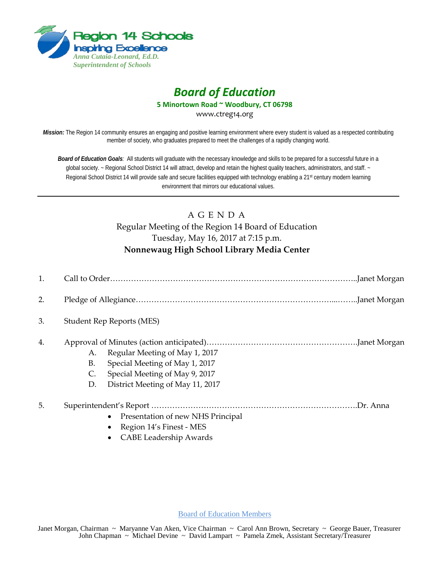

## *Board of Education*

**5 Minortown Road ~ Woodbury, CT 06798**

www.ctreg14.org

*Mission:* The Region 14 community ensures an engaging and positive learning environment where every student is valued as a respected contributing member of society, who graduates prepared to meet the challenges of a rapidly changing world.

*Board of Education Goals:* All students will graduate with the necessary knowledge and skills to be prepared for a successful future in a global society. ~ Regional School District 14 will attract, develop and retain the highest quality teachers, administrators, and staff. ~ Regional School District 14 will provide safe and secure facilities equipped with technology enabling a 21<sup>st</sup> century modern learning environment that mirrors our educational values.

## A G E N D A Regular Meeting of the Region 14 Board of Education Tuesday, May 16, 2017 at 7:15 p.m. **Nonnewaug High School Library Media Center**

| 1. |                                  |                                                                                                                                        |  |
|----|----------------------------------|----------------------------------------------------------------------------------------------------------------------------------------|--|
| 2. |                                  |                                                                                                                                        |  |
| 3. | <b>Student Rep Reports (MES)</b> |                                                                                                                                        |  |
| 4. | А.<br>В.<br>C.<br>D.             | Regular Meeting of May 1, 2017<br>Special Meeting of May 1, 2017<br>Special Meeting of May 9, 2017<br>District Meeting of May 11, 2017 |  |
| 5. |                                  | Presentation of new NHS Principal<br>$\bullet$                                                                                         |  |

- Region 14's Finest MES
- CABE Leadership Awards

Board of Education Members